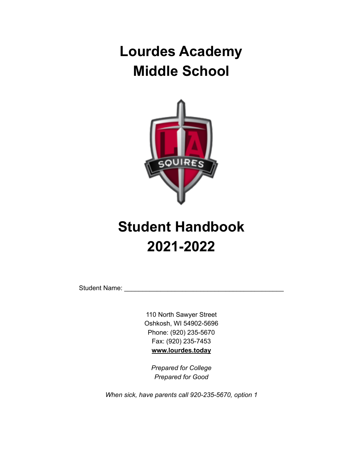# **Lourdes Academy Middle School**



# **Student Handbook 2021-2022**

Student Name:

110 North Sawyer Street Oshkosh, WI 54902-5696 Phone: (920) 235-5670 Fax: (920) 235-7453 **[www.lourdes.today](http://www.lourdesacademyoshkosh.org)**

*Prepared for College Prepared for Good*

*When sick, have parents call 920-235-5670, option [1](http://www.lourdesacademyoshkosh.org)*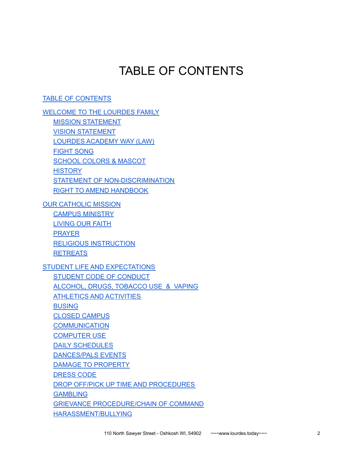# TABLE OF CONTENTS

<span id="page-1-0"></span>TABLE OF [CONTENTS](#page-1-0)

[WELCOME](#page-4-0) TO THE LOURDES FAMILY MISSION [STATEMENT](#page-4-1) VISION [STATEMENT](#page-4-2) LOURDES [ACADEMY](#page-4-3) WAY (LAW) [FIGHT](#page-4-4) SONG SCHOOL COLORS & [MASCOT](#page-4-5) **[HISTORY](#page-5-0)** STATEMENT OF [NON-DISCRIMINATION](#page-5-1) RIGHT TO AMEND [HANDBOOK](#page-5-2)

OUR [CATHOLIC](#page-5-3) MISSION CAMPUS [MINISTRY](#page-5-4) [LIVING](#page-5-5) OUR FAITH [PRAYER](#page-6-0) RELIGIOUS [INSTRUCTION](#page-6-1) **[RETREATS](#page-6-2)** STUDENT LIFE AND [EXPECTATIONS](#page-7-0) STUDENT CODE OF [CONDUCT](#page-7-1) [ALCOHOL,](#page-8-0) DRUGS, TOBACCO USE & VAPING ATHLETICS AND [ACTIVITIES](#page-9-0) [BUSING](#page-9-1) CLOSED [CAMPUS](#page-9-2)

**[COMMUNICATION](#page-9-3)** [COMPUTER](#page-10-0) USE

DAILY [SCHEDULES](#page-10-1)

[DANCES/PALS](#page-10-2) EVENTS

DAMAGE TO [PROPERTY](#page-10-3)

[DRESS](#page-11-0) CODE

DROP OFF/PICK UP TIME AND [PROCEDURES](#page-11-1)

**[GAMBLING](#page-12-0)** 

GRIEVANCE [PROCEDURE/CHAIN](#page-12-1) OF COMMAND [HARASSMENT/BULLYING](#page-12-2)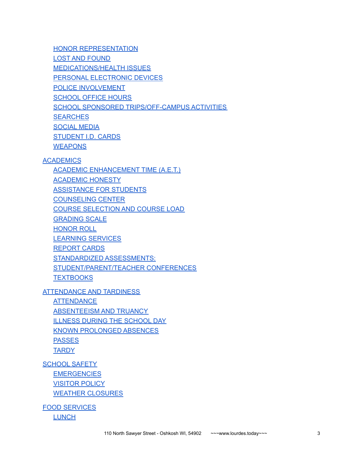HONOR [REPRESENTATION](#page-12-3) LOST AND [FOUND](#page-13-0) **[MEDICATIONS/HEALTH](#page-13-1) ISSUES** PERSONAL [ELECTRONIC](#page-13-2) DEVICES POLICE [INVOLVEMENT](#page-14-0) **[SCHOOL](#page-14-1) OFFICE HOURS** SCHOOL SPONSORED [TRIPS/OFF-CAMPUS](#page-14-2) ACTIVITIES **[SEARCHES](#page-14-3)** [SOCIAL](#page-14-4) MEDIA [STUDENT](#page-15-0) I.D. CARDS **[WEAPONS](#page-15-1)** 

#### **[ACADEMICS](#page-16-0)**

ACADEMIC [ENHANCEMENT](#page-16-1) TIME (A.E.T.)

[ACADEMIC](#page-16-2) HONESTY

[ASSISTANCE](#page-17-0) FOR STUDENTS

[COUNSELING](#page-17-1) CENTER

COURSE [SELECTION](#page-18-0) AND COURSE LOAD

[GRADING](#page-19-0) SCALE

[HONOR](#page-19-1) ROLL

[LEARNING](#page-19-2) SERVICES

[REPORT](#page-20-0) CARDS

STANDARDIZED [ASSESSMENTS:](#page-20-1)

[STUDENT/PARENT/TEACHER](#page-20-2) CONFERENCES

**[TEXTBOOKS](#page-20-3)** 

[ATTENDANCE](#page-21-0) AND TARDINESS

**[ATTENDANCE](#page-21-1)** [ABSENTEEISM](#page-21-2) AND TRUANCY ILLNESS DURING THE [SCHOOL](#page-22-0) DAY KNOWN [PROLONGED](#page-22-1) ABSENCES **[PASSES](#page-22-2) [TARDY](#page-22-3)** 

[SCHOOL](#page-23-0) SAFETY **[EMERGENCIES](#page-23-1)** [VISITOR](#page-23-2) POLICY WEATHER [CLOSURES](#page-23-3)

FOOD [SERVICES](#page-24-0) **[LUNCH](#page-24-1)**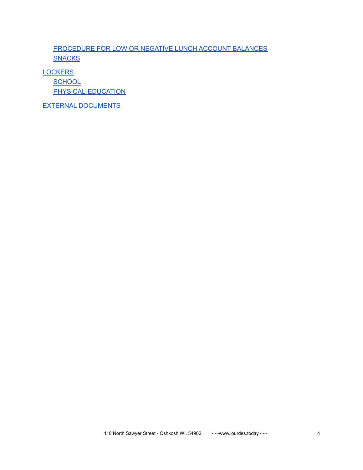[PROCEDURE](#page-24-2) FOR LOW OR NEGATIVE LUNCH ACCOUNT BALANCES **[SNACKS](#page-24-3)** 

**[LOCKERS](#page-25-0)** 

**[SCHOOL](#page-25-1)** [PHYSICAL-EDUCATION](#page-25-2)

EXTERNAL [DOCUMENTS](#page-26-0)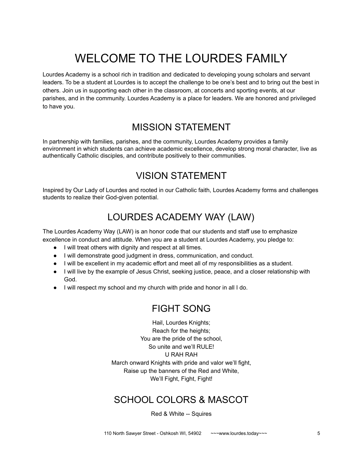# WELCOME TO THE LOURDES FAMILY

<span id="page-4-0"></span>Lourdes Academy is a school rich in tradition and dedicated to developing young scholars and servant leaders. To be a student at Lourdes is to accept the challenge to be one's best and to bring out the best in others. Join us in supporting each other in the classroom, at concerts and sporting events, at our parishes, and in the community. Lourdes Academy is a place for leaders. We are honored and privileged to have you.

### MISSION STATEMENT

<span id="page-4-2"></span><span id="page-4-1"></span>In partnership with families, parishes, and the community, Lourdes Academy provides a family environment in which students can achieve academic excellence, develop strong moral character, live as authentically Catholic disciples, and contribute positively to their communities.

# VISION STATEMENT

<span id="page-4-3"></span>Inspired by Our Lady of Lourdes and rooted in our Catholic faith, Lourdes Academy forms and challenges students to realize their God-given potential.

# LOURDES ACADEMY WAY (LAW)

The Lourdes Academy Way (LAW) is an honor code that our students and staff use to emphasize excellence in conduct and attitude. When you are a student at Lourdes Academy, you pledge to:

- I will treat others with dignity and respect at all times.
- I will demonstrate good judgment in dress, communication, and conduct.
- I will be excellent in my academic effort and meet all of my responsibilities as a student.
- I will live by the example of Jesus Christ, seeking justice, peace, and a closer relationship with God.
- <span id="page-4-4"></span>● I will respect my school and my church with pride and honor in all I do.

# FIGHT SONG

Hail, Lourdes Knights; Reach for the heights; You are the pride of the school, So unite and we'll RULE! U RAH RAH March onward Knights with pride and valor we'll fight, Raise up the banners of the Red and White, We'll Fight, Fight, Fight!

# <span id="page-4-5"></span>SCHOOL COLORS & MASCOT

#### Red & White -- Squires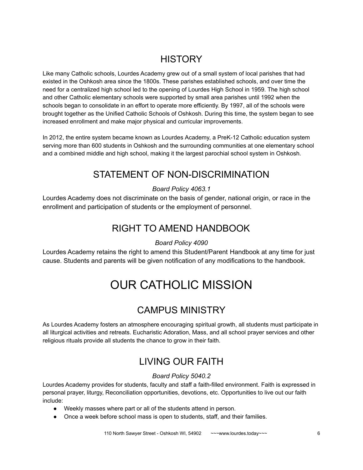# **HISTORY**

<span id="page-5-0"></span>Like many Catholic schools, Lourdes Academy grew out of a small system of local parishes that had existed in the Oshkosh area since the 1800s. These parishes established schools, and over time the need for a centralized high school led to the opening of Lourdes High School in 1959. The high school and other Catholic elementary schools were supported by small area parishes until 1992 when the schools began to consolidate in an effort to operate more efficiently. By 1997, all of the schools were brought together as the Unified Catholic Schools of Oshkosh. During this time, the system began to see increased enrollment and make major physical and curricular improvements.

<span id="page-5-1"></span>In 2012, the entire system became known as Lourdes Academy, a PreK-12 Catholic education system serving more than 600 students in Oshkosh and the surrounding communities at one elementary school and a combined middle and high school, making it the largest parochial school system in Oshkosh.

# STATEMENT OF NON-DISCRIMINATION

### *Board Policy 4063.1*

<span id="page-5-2"></span>Lourdes Academy does not discriminate on the basis of gender, national origin, or race in the enrollment and participation of students or the employment of personnel.

# RIGHT TO AMEND HANDBOOK

### *Board Policy 4090*

<span id="page-5-3"></span>Lourdes Academy retains the right to amend this Student/Parent Handbook at any time for just cause. Students and parents will be given notification of any modifications to the handbook.

# OUR CATHOLIC MISSION

# CAMPUS MINISTRY

<span id="page-5-5"></span><span id="page-5-4"></span>As Lourdes Academy fosters an atmosphere encouraging spiritual growth, all students must participate in all liturgical activities and retreats. Eucharistic Adoration, Mass, and all school prayer services and other religious rituals provide all students the chance to grow in their faith.

# LIVING OUR FAITH

### *Board Policy 5040.2*

Lourdes Academy provides for students, faculty and staff a faith-filled environment. Faith is expressed in personal prayer, liturgy, Reconciliation opportunities, devotions, etc. Opportunities to live out our faith include:

- Weekly masses where part or all of the students attend in person.
- Once a week before school mass is open to students, staff, and their families.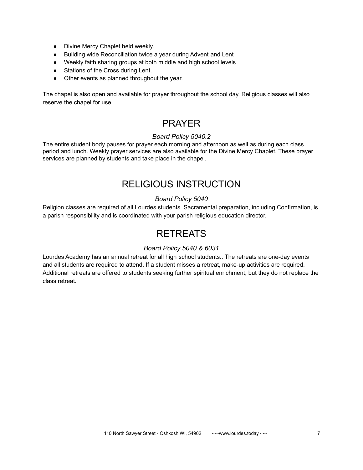- Divine Mercy Chaplet held weekly.
- Building wide Reconciliation twice a year during Advent and Lent
- Weekly faith sharing groups at both middle and high school levels
- Stations of the Cross during Lent.
- Other events as planned throughout the year.

<span id="page-6-0"></span>The chapel is also open and available for prayer throughout the school day. Religious classes will also reserve the chapel for use.

# PRAYER

### *Board Policy 5040.2*

The entire student body pauses for prayer each morning and afternoon as well as during each class period and lunch. Weekly prayer services are also available for the Divine Mercy Chaplet. These prayer services are planned by students and take place in the chapel.

### RELIGIOUS INSTRUCTION

#### *Board Policy 5040*

<span id="page-6-2"></span><span id="page-6-1"></span>Religion classes are required of all Lourdes students. Sacramental preparation, including Confirmation, is a parish responsibility and is coordinated with your parish religious education director.

### **RETREATS**

#### *Board Policy 5040 & 6031*

Lourdes Academy has an annual retreat for all high school students.. The retreats are one-day events and all students are required to attend. If a student misses a retreat, make-up activities are required. Additional retreats are offered to students seeking further spiritual enrichment, but they do not replace the class retreat.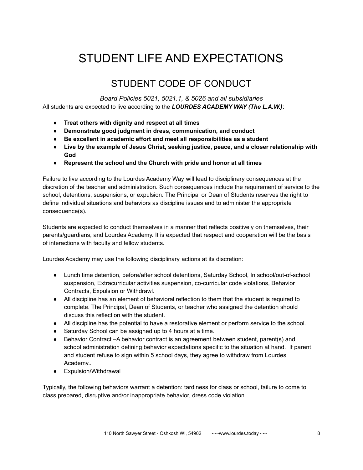# <span id="page-7-0"></span>STUDENT LIFE AND EXPECTATIONS

# STUDENT CODE OF CONDUCT

*Board Policies 5021, 5021.1, & 5026 and all subsidiaries*

<span id="page-7-1"></span>All students are expected to live according to the *LOURDES ACADEMY WAY (The L.A.W.)*:

- **● Treat others with dignity and respect at all times**
- **● Demonstrate good judgment in dress, communication, and conduct**
- **● Be excellent in academic effort and meet all responsibilities as a student**
- **● Live by the example of Jesus Christ, seeking justice, peace, and a closer relationship with God**
- **● Represent the school and the Church with pride and honor at all times**

Failure to live according to the Lourdes Academy Way will lead to disciplinary consequences at the discretion of the teacher and administration. Such consequences include the requirement of service to the school, detentions, suspensions, or expulsion. The Principal or Dean of Students reserves the right to define individual situations and behaviors as discipline issues and to administer the appropriate consequence(s).

Students are expected to conduct themselves in a manner that reflects positively on themselves, their parents/guardians, and Lourdes Academy. It is expected that respect and cooperation will be the basis of interactions with faculty and fellow students.

Lourdes Academy may use the following disciplinary actions at its discretion:

- Lunch time detention, before/after school detentions, Saturday School, In school/out-of-school suspension, Extracurricular activities suspension, co-curricular code violations, Behavior Contracts, Expulsion or Withdrawl.
- All discipline has an element of behavioral reflection to them that the student is required to complete. The Principal, Dean of Students, or teacher who assigned the detention should discuss this reflection with the student.
- All discipline has the potential to have a restorative element or perform service to the school.
- Saturday School can be assigned up to 4 hours at a time.
- Behavior Contract –A behavior contract is an agreement between student, parent(s) and school administration defining behavior expectations specific to the situation at hand. If parent and student refuse to sign within 5 school days, they agree to withdraw from Lourdes Academy..
- Expulsion/Withdrawal

Typically, the following behaviors warrant a detention: tardiness for class or school, failure to come to class prepared, disruptive and/or inappropriate behavior, dress code violation.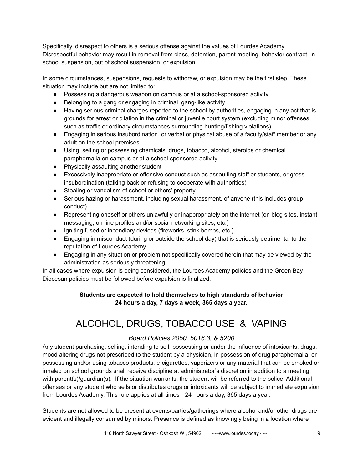Specifically, disrespect to others is a serious offense against the values of Lourdes Academy. Disrespectful behavior may result in removal from class, detention, parent meeting, behavior contract, in school suspension, out of school suspension, or expulsion.

In some circumstances, suspensions, requests to withdraw, or expulsion may be the first step. These situation may include but are not limited to:

- Possessing a dangerous weapon on campus or at a school-sponsored activity
- Belonging to a gang or engaging in criminal, gang-like activity
- Having serious criminal charges reported to the school by authorities, engaging in any act that is grounds for arrest or citation in the criminal or juvenile court system (excluding minor offenses such as traffic or ordinary circumstances surrounding hunting/fishing violations)
- Engaging in serious insubordination, or verbal or physical abuse of a faculty/staff member or any adult on the school premises
- Using, selling or possessing chemicals, drugs, tobacco, alcohol, steroids or chemical paraphernalia on campus or at a school-sponsored activity
- Physically assaulting another student
- Excessively inappropriate or offensive conduct such as assaulting staff or students, or gross insubordination (talking back or refusing to cooperate with authorities)
- Stealing or vandalism of school or others' property
- Serious hazing or harassment, including sexual harassment, of anyone (this includes group conduct)
- Representing oneself or others unlawfully or inappropriately on the internet (on blog sites, instant messaging, on-line profiles and/or social networking sites, etc.)
- Igniting fused or incendiary devices (fireworks, stink bombs, etc.)
- Engaging in misconduct (during or outside the school day) that is seriously detrimental to the reputation of Lourdes Academy
- Engaging in any situation or problem not specifically covered herein that may be viewed by the administration as seriously threatening

In all cases where expulsion is being considered, the Lourdes Academy policies and the Green Bay Diocesan policies must be followed before expulsion is finalized.

### **Students are expected to hold themselves to high standards of behavior 24 hours a day, 7 days a week, 365 days a year.**

# <span id="page-8-0"></span>ALCOHOL, DRUGS, TOBACCO USE & VAPING

### *Board Policies 2050, 5018.3, & 5200*

Any student purchasing, selling, intending to sell, possessing or under the influence of intoxicants, drugs, mood altering drugs not prescribed to the student by a physician, in possession of drug paraphernalia, or possessing and/or using tobacco products, e-cigarettes, vaporizers or any material that can be smoked or inhaled on school grounds shall receive discipline at administrator's discretion in addition to a meeting with parent(s)/guardian(s). If the situation warrants, the student will be referred to the police. Additional offenses or any student who sells or distributes drugs or intoxicants will be subject to immediate expulsion from Lourdes Academy. This rule applies at all times - 24 hours a day, 365 days a year.

Students are not allowed to be present at events/parties/gatherings where alcohol and/or other drugs are evident and illegally consumed by minors. Presence is defined as knowingly being in a location where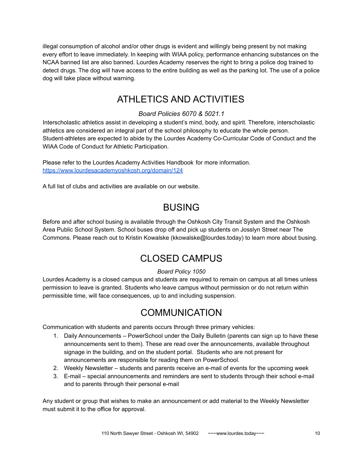illegal consumption of alcohol and/or other drugs is evident and willingly being present by not making every effort to leave immediately. In keeping with WIAA policy, performance enhancing substances on the NCAA banned list are also banned. Lourdes Academy reserves the right to bring a police dog trained to detect drugs. The dog will have access to the entire building as well as the parking lot. The use of a police dog will take place without warning.

### ATHLETICS AND ACTIVITIES

### *Board Policies 6070 & 5021.1*

<span id="page-9-0"></span>Interscholastic athletics assist in developing a student's mind, body, and spirit. Therefore, interscholastic athletics are considered an integral part of the school philosophy to educate the whole person. Student-athletes are expected to abide by the Lourdes Academy Co-Curricular Code of Conduct and the WIAA Code of Conduct for Athletic Participation.

Please refer to the Lourdes Academy Activities Handbook for more information. <https://www.lourdesacademyoshkosh.org/domain/124>

<span id="page-9-1"></span>A full list of clubs and activities are available on our website.

# BUSING

<span id="page-9-2"></span>Before and after school busing is available through the Oshkosh City Transit System and the Oshkosh Area Public School System. School buses drop off and pick up students on Josslyn Street near The Commons. Please reach out to Kristin Kowalske (kkowalske@lourdes.today) to learn more about busing.

# CLOSED CAMPUS

### *Board Policy 1050*

<span id="page-9-3"></span>Lourdes Academy is a closed campus and students are required to remain on campus at all times unless permission to leave is granted. Students who leave campus without permission or do not return within permissible time, will face consequences, up to and including suspension.

# COMMUNICATION

Communication with students and parents occurs through three primary vehicles:

- 1. Daily Announcements PowerSchool under the Daily Bulletin (parents can sign up to have these announcements sent to them). These are read over the announcements, available throughout signage in the building, and on the student portal. Students who are not present for announcements are responsible for reading them on PowerSchool.
- 2. Weekly Newsletter students and parents receive an e-mail of events for the upcoming week
- 3. E-mail special announcements and reminders are sent to students through their school e-mail and to parents through their personal e-mail

Any student or group that wishes to make an announcement or add material to the Weekly Newsletter must submit it to the office for approval.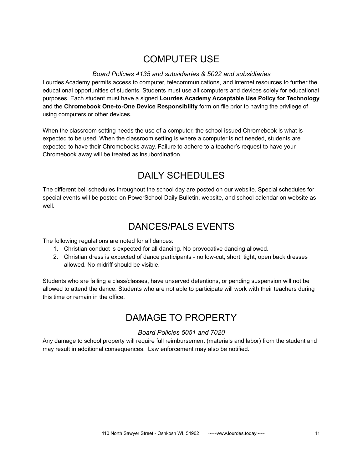# COMPUTER USE

#### *Board Policies 4135 and subsidiaries & 5022 and subsidiaries*

<span id="page-10-0"></span>Lourdes Academy permits access to computer, telecommunications, and internet resources to further the educational opportunities of students. Students must use all computers and devices solely for educational purposes. Each student must have a signed **Lourdes Academy Acceptable Use Policy for Technology** and the **Chromebook One-to-One Device Responsibility** form on file prior to having the privilege of using computers or other devices.

When the classroom setting needs the use of a computer, the school issued Chromebook is what is expected to be used. When the classroom setting is where a computer is not needed, students are expected to have their Chromebooks away. Failure to adhere to a teacher's request to have your Chromebook away will be treated as insubordination.

# DAILY SCHEDULES

<span id="page-10-2"></span><span id="page-10-1"></span>The different bell schedules throughout the school day are posted on our website. Special schedules for special events will be posted on PowerSchool Daily Bulletin, website, and school calendar on website as well.

# DANCES/PALS EVENTS

The following regulations are noted for all dances:

- 1. Christian conduct is expected for all dancing. No provocative dancing allowed.
- 2. Christian dress is expected of dance participants no low-cut, short, tight, open back dresses allowed. No midriff should be visible.

<span id="page-10-3"></span>Students who are failing a class/classes, have unserved detentions, or pending suspension will not be allowed to attend the dance. Students who are not able to participate will work with their teachers during this time or remain in the office.

# DAMAGE TO PROPERTY

### *Board Policies 5051 and 7020*

Any damage to school property will require full reimbursement (materials and labor) from the student and may result in additional consequences. Law enforcement may also be notified.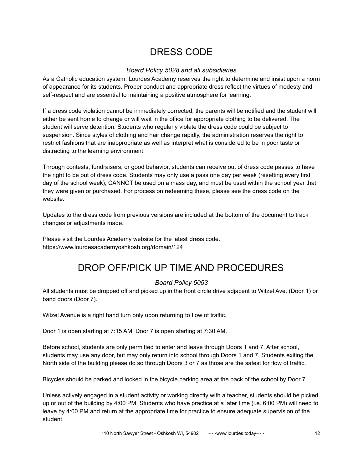# DRESS CODE

### *Board Policy 5028 and all subsidiaries*

<span id="page-11-0"></span>As a Catholic education system, Lourdes Academy reserves the right to determine and insist upon a norm of appearance for its students. Proper conduct and appropriate dress reflect the virtues of modesty and self-respect and are essential to maintaining a positive atmosphere for learning.

If a dress code violation cannot be immediately corrected, the parents will be notified and the student will either be sent home to change or will wait in the office for appropriate clothing to be delivered. The student will serve detention. Students who regularly violate the dress code could be subject to suspension. Since styles of clothing and hair change rapidly, the administration reserves the right to restrict fashions that are inappropriate as well as interpret what is considered to be in poor taste or distracting to the learning environment.

Through contests, fundraisers, or good behavior, students can receive out of dress code passes to have the right to be out of dress code. Students may only use a pass one day per week (resetting every first day of the school week), CANNOT be used on a mass day, and must be used within the school year that they were given or purchased. For process on redeeming these, please see the dress code on the website.

Updates to the dress code from previous versions are included at the bottom of the document to track changes or adjustments made.

<span id="page-11-1"></span>Please visit the Lourdes Academy website for the latest dress code. https://www.lourdesacademyoshkosh.org/domain/124

# DROP OFF/PICK UP TIME AND PROCEDURES

### *Board Policy 5053*

All students must be dropped off and picked up in the front circle drive adjacent to Witzel Ave. (Door 1) or band doors (Door 7).

Witzel Avenue is a right hand turn only upon returning to flow of traffic.

Door 1 is open starting at 7:15 AM; Door 7 is open starting at 7:30 AM.

Before school, students are only permitted to enter and leave through Doors 1 and 7. After school, students may use any door, but may only return into school through Doors 1 and 7. Students exiting the North side of the building please do so through Doors 3 or 7 as those are the safest for flow of traffic.

Bicycles should be parked and locked in the bicycle parking area at the back of the school by Door 7.

Unless actively engaged in a student activity or working directly with a teacher, students should be picked up or out of the building by 4:00 PM. Students who have practice at a later time (i.e. 6:00 PM) will need to leave by 4:00 PM and return at the appropriate time for practice to ensure adequate supervision of the student.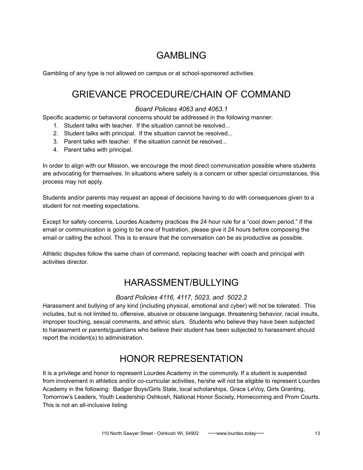# GAMBLING

<span id="page-12-1"></span><span id="page-12-0"></span>Gambling of any type is not allowed on campus or at school-sponsored activities.

### GRIEVANCE PROCEDURE/CHAIN OF COMMAND

#### *Board Policies 4063 and 4063.1*

Specific academic or behavioral concerns should be addressed in the following manner:

- 1. Student talks with teacher. If the situation cannot be resolved...
- 2. Student talks with principal. If the situation cannot be resolved...
- 3. Parent talks with teacher. If the situation cannot be resolved...
- 4. Parent talks with principal.

In order to align with our Mission, we encourage the most direct communication possible where students are advocating for themselves. In situations where safety is a concern or other special circumstances, this process may not apply.

Students and/or parents may request an appeal of decisions having to do with consequences given to a student for not meeting expectations.

Except for safety concerns, Lourdes Academy practices the 24 hour rule for a "cool down period." If the email or communication is going to be one of frustration, please give it 24 hours before composing the email or calling the school. This is to ensure that the conversation can be as productive as possible.

<span id="page-12-2"></span>Athletic disputes follow the same chain of command, replacing teacher with coach and principal with activities director.

# HARASSMENT/BULLYING

### *Board Policies 4116, 4117, 5023, and 5022.2*

Harassment and bullying of any kind (including physical, emotional and cyber) will not be tolerated. This includes, but is not limited to, offensive, abusive or obscene language, threatening behavior, racial insults, improper touching, sexual comments, and ethnic slurs. Students who believe they have been subjected to harassment or parents/guardians who believe their student has been subjected to harassment should report the incident(s) to administration.

# HONOR REPRESENTATION

<span id="page-12-3"></span>It is a privilege and honor to represent Lourdes Academy in the community. If a student is suspended from involvement in athletics and/or co-curricular activities, he/she will not be eligible to represent Lourdes Academy in the following: Badger Boys/Girls State, local scholarships, Grace LeVoy, Girls Granting, Tomorrow's Leaders, Youth Leadership Oshkosh, National Honor Society, Homecoming and Prom Courts. This is not an all-inclusive listing.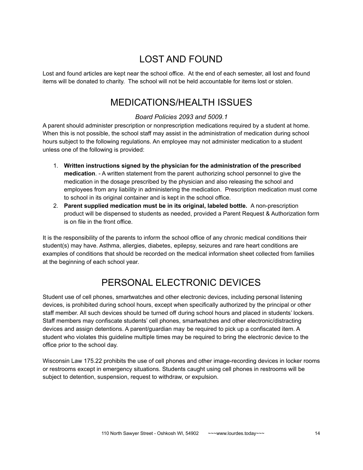# LOST AND FOUND

<span id="page-13-1"></span><span id="page-13-0"></span>Lost and found articles are kept near the school office. At the end of each semester, all lost and found items will be donated to charity. The school will not be held accountable for items lost or stolen.

### MEDICATIONS/HEALTH ISSUES

### *Board Policies 2093 and 5009.1*

A parent should administer prescription or nonprescription medications required by a student at home. When this is not possible, the school staff may assist in the administration of medication during school hours subject to the following regulations. An employee may not administer medication to a student unless one of the following is provided:

- 1. **Written instructions signed by the physician for the administration of the prescribed medication**. - A written statement from the parent authorizing school personnel to give the medication in the dosage prescribed by the physician and also releasing the school and employees from any liability in administering the medication. Prescription medication must come to school in its original container and is kept in the school office.
- 2. **Parent supplied medication must be in its original, labeled bottle.** A non-prescription product will be dispensed to students as needed, provided a Parent Request & Authorization form is on file in the front office.

It is the responsibility of the parents to inform the school office of any chronic medical conditions their student(s) may have. Asthma, allergies, diabetes, epilepsy, seizures and rare heart conditions are examples of conditions that should be recorded on the medical information sheet collected from families at the beginning of each school year.

# PERSONAL ELECTRONIC DEVICES

<span id="page-13-2"></span>Student use of cell phones, smartwatches and other electronic devices, including personal listening devices, is prohibited during school hours, except when specifically authorized by the principal or other staff member. All such devices should be turned off during school hours and placed in students' lockers. Staff members may confiscate students' cell phones, smartwatches and other electronic/distracting devices and assign detentions. A parent/guardian may be required to pick up a confiscated item. A student who violates this guideline multiple times may be required to bring the electronic device to the office prior to the school day.

Wisconsin Law 175.22 prohibits the use of cell phones and other image-recording devices in locker rooms or restrooms except in emergency situations. Students caught using cell phones in restrooms will be subject to detention, suspension, request to withdraw, or expulsion.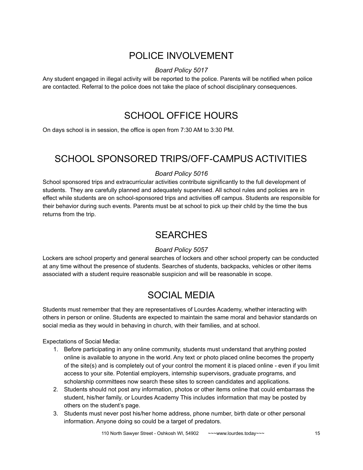# POLICE INVOLVEMENT

### *Board Policy 5017*

<span id="page-14-1"></span><span id="page-14-0"></span>Any student engaged in illegal activity will be reported to the police. Parents will be notified when police are contacted. Referral to the police does not take the place of school disciplinary consequences.

# SCHOOL OFFICE HOURS

<span id="page-14-2"></span>On days school is in session, the office is open from 7:30 AM to 3:30 PM.

# SCHOOL SPONSORED TRIPS/OFF-CAMPUS ACTIVITIES

### *Board Policy 5016*

School sponsored trips and extracurricular activities contribute significantly to the full development of students. They are carefully planned and adequately supervised. All school rules and policies are in effect while students are on school-sponsored trips and activities off campus. Students are responsible for their behavior during such events. Parents must be at school to pick up their child by the time the bus returns from the trip.

### **SEARCHES**

### *Board Policy 5057*

<span id="page-14-4"></span><span id="page-14-3"></span>Lockers are school property and general searches of lockers and other school property can be conducted at any time without the presence of students. Searches of students, backpacks, vehicles or other items associated with a student require reasonable suspicion and will be reasonable in scope.

# SOCIAL MEDIA

Students must remember that they are representatives of Lourdes Academy, whether interacting with others in person or online. Students are expected to maintain the same moral and behavior standards on social media as they would in behaving in church, with their families, and at school.

Expectations of Social Media:

- 1. Before participating in any online community, students must understand that anything posted online is available to anyone in the world. Any text or photo placed online becomes the property of the site(s) and is completely out of your control the moment it is placed online - even if you limit access to your site. Potential employers, internship supervisors, graduate programs, and scholarship committees now search these sites to screen candidates and applications.
- 2. Students should not post any information, photos or other items online that could embarrass the student, his/her family, or Lourdes Academy This includes information that may be posted by others on the student's page.
- 3. Students must never post his/her home address, phone number, birth date or other personal information. Anyone doing so could be a target of predators.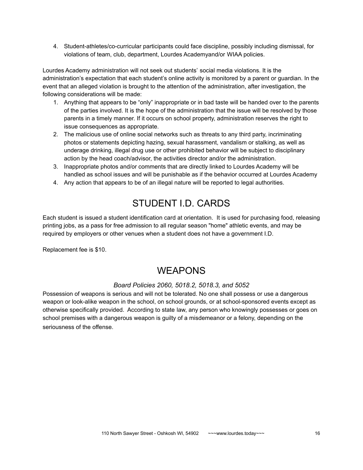4. Student-athletes/co-curricular participants could face discipline, possibly including dismissal, for violations of team, club, department, Lourdes Academyand/or WIAA policies.

Lourdes Academy administration will not seek out students' social media violations. It is the administration's expectation that each student's online activity is monitored by a parent or guardian. In the event that an alleged violation is brought to the attention of the administration, after investigation, the following considerations will be made:

- 1. Anything that appears to be "only" inappropriate or in bad taste will be handed over to the parents of the parties involved. It is the hope of the administration that the issue will be resolved by those parents in a timely manner. If it occurs on school property, administration reserves the right to issue consequences as appropriate.
- 2. The malicious use of online social networks such as threats to any third party, incriminating photos or statements depicting hazing, sexual harassment, vandalism or stalking, as well as underage drinking, illegal drug use or other prohibited behavior will be subject to disciplinary action by the head coach/advisor, the activities director and/or the administration.
- 3. Inappropriate photos and/or comments that are directly linked to Lourdes Academy will be handled as school issues and will be punishable as if the behavior occurred at Lourdes Academy
- <span id="page-15-0"></span>4. Any action that appears to be of an illegal nature will be reported to legal authorities.

# STUDENT I.D. CARDS

Each student is issued a student identification card at orientation. It is used for purchasing food, releasing printing jobs, as a pass for free admission to all regular season "home" athletic events, and may be required by employers or other venues when a student does not have a government I.D.

<span id="page-15-1"></span>Replacement fee is \$10.

# **WEAPONS**

### *Board Policies 2060, 5018.2, 5018.3, and 5052*

Possession of weapons is serious and will not be tolerated. No one shall possess or use a dangerous weapon or look-alike weapon in the school, on school grounds, or at school-sponsored events except as otherwise specifically provided. According to state law, any person who knowingly possesses or goes on school premises with a dangerous weapon is guilty of a misdemeanor or a felony, depending on the seriousness of the offense.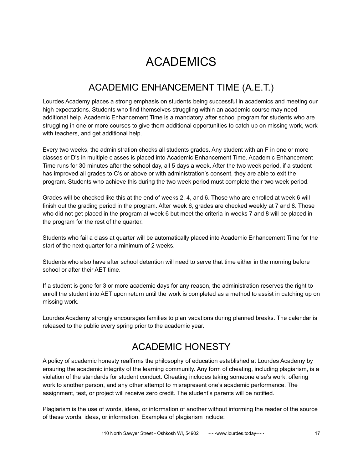# ACADEMICS

# ACADEMIC ENHANCEMENT TIME (A.E.T.)

<span id="page-16-1"></span><span id="page-16-0"></span>Lourdes Academy places a strong emphasis on students being successful in academics and meeting our high expectations. Students who find themselves struggling within an academic course may need additional help. Academic Enhancement Time is a mandatory after school program for students who are struggling in one or more courses to give them additional opportunities to catch up on missing work, work with teachers, and get additional help.

Every two weeks, the administration checks all students grades. Any student with an F in one or more classes or D's in multiple classes is placed into Academic Enhancement Time. Academic Enhancement Time runs for 30 minutes after the school day, all 5 days a week. After the two week period, if a student has improved all grades to C's or above or with administration's consent, they are able to exit the program. Students who achieve this during the two week period must complete their two week period.

Grades will be checked like this at the end of weeks 2, 4, and 6. Those who are enrolled at week 6 will finish out the grading period in the program. After week 6, grades are checked weekly at 7 and 8. Those who did not get placed in the program at week 6 but meet the criteria in weeks 7 and 8 will be placed in the program for the rest of the quarter.

Students who fail a class at quarter will be automatically placed into Academic Enhancement Time for the start of the next quarter for a minimum of 2 weeks.

Students who also have after school detention will need to serve that time either in the morning before school or after their AET time.

If a student is gone for 3 or more academic days for any reason, the administration reserves the right to enroll the student into AET upon return until the work is completed as a method to assist in catching up on missing work.

<span id="page-16-2"></span>Lourdes Academy strongly encourages families to plan vacations during planned breaks. The calendar is released to the public every spring prior to the academic year.

# ACADEMIC HONESTY

A policy of academic honesty reaffirms the philosophy of education established at Lourdes Academy by ensuring the academic integrity of the learning community. Any form of cheating, including plagiarism, is a violation of the standards for student conduct. Cheating includes taking someone else's work, offering work to another person, and any other attempt to misrepresent one's academic performance. The assignment, test, or project will receive zero credit. The student's parents will be notified.

Plagiarism is the use of words, ideas, or information of another without informing the reader of the source of these words, ideas, or information. Examples of plagiarism include: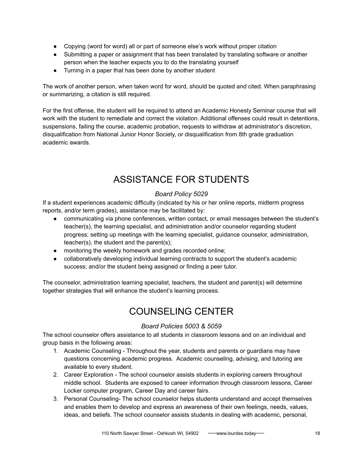- Copying (word for word) all or part of someone else's work without proper citation
- Submitting a paper or assignment that has been translated by translating software or another person when the teacher expects you to do the translating yourself
- Turning in a paper that has been done by another student

The work of another person, when taken word for word, should be quoted and cited. When paraphrasing or summarizing, a citation is still required.

For the first offense, the student will be required to attend an Academic Honesty Seminar course that will work with the student to remediate and correct the violation. Additional offenses could result in detentions, suspensions, failing the course, academic probation, requests to withdraw at administrator's discretion, disqualification from National Junior Honor Society, or disqualification from 8th grade graduation academic awards.

# ASSISTANCE FOR STUDENTS

### *Board Policy 5029*

<span id="page-17-0"></span>If a student experiences academic difficulty (indicated by his or her online reports, midterm progress reports, and/or term grades), assistance may be facilitated by:

- communicating via phone conferences, written contact, or email messages between the student's teacher(s), the learning specialist, and administration and/or counselor regarding student progress; setting up meetings with the learning specialist, guidance counselor, administration, teacher(s), the student and the parent(s);
- monitoring the weekly homework and grades recorded online;
- collaboratively developing individual learning contracts to support the student's academic success; and/or the student being assigned or finding a peer tutor.

<span id="page-17-1"></span>The counselor, administration learning specialist, teachers, the student and parent(s) will determine together strategies that will enhance the student's learning process.

# COUNSELING CENTER

### *Board Policies 5003 & 5059*

The school counselor offers assistance to all students in classroom lessons and on an individual and group basis in the following areas:

- 1. Academic Counseling Throughout the year, students and parents or guardians may have questions concerning academic progress. Academic counseling, advising, and tutoring are available to every student.
- 2. Career Exploration The school counselor assists students in exploring careers throughout middle school. Students are exposed to career information through classroom lessons, Career Locker computer program, Career Day and career fairs.
- 3. Personal Counseling- The school counselor helps students understand and accept themselves and enables them to develop and express an awareness of their own feelings, needs, values, ideas, and beliefs. The school counselor assists students in dealing with academic, personal,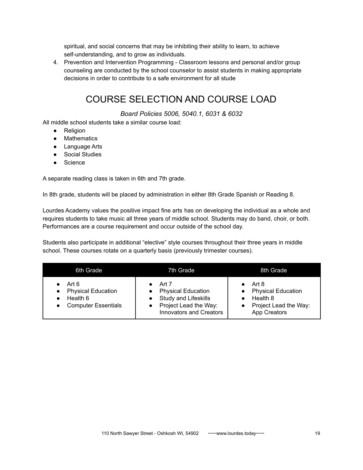spiritual, and social concerns that may be inhibiting their ability to learn, to achieve self-understanding, and to grow as individuals.

<span id="page-18-0"></span>4. Prevention and Intervention Programming - Classroom lessons and personal and/or group counseling are conducted by the school counselor to assist students in making appropriate decisions in order to contribute to a safe environment for all stude

# COURSE SELECTION AND COURSE LOAD

#### *Board Policies 5006, 5040.1, 6031 & 6032*

All middle school students take a similar course load:

- Religion
- Mathematics
- Language Arts
- Social Studies
- Science

A separate reading class is taken in 6th and 7th grade.

In 8th grade, students will be placed by administration in either 8th Grade Spanish or Reading 8.

Lourdes Academy values the positive impact fine arts has on developing the individual as a whole and requires students to take music all three years of middle school. Students may do band, choir, or both. Performances are a course requirement and occur outside of the school day.

Students also participate in additional "elective" style courses throughout their three years in middle school. These courses rotate on a quarterly basis (previously trimester courses).

| 6th Grade                                                                    | 7th Grade                                                                                                                    | 8th Grade                                                                               |
|------------------------------------------------------------------------------|------------------------------------------------------------------------------------------------------------------------------|-----------------------------------------------------------------------------------------|
| Art 6<br><b>Physical Education</b><br>Health 6<br><b>Computer Essentials</b> | Art 7<br><b>Physical Education</b><br><b>Study and Lifeskills</b><br>Project Lead the Way:<br><b>Innovators and Creators</b> | Art 8<br><b>Physical Education</b><br>Health 8<br>Project Lead the Way:<br>App Creators |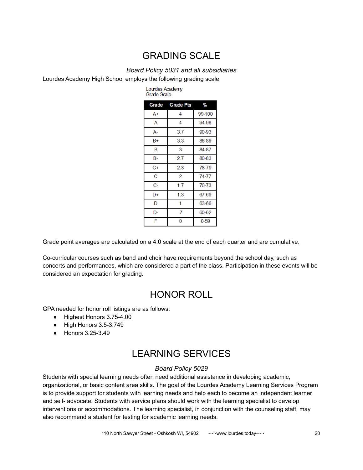# GRADING SCALE

#### *Board Policy 5031 and all subsidiaries*

Lourdes Academy

<span id="page-19-0"></span>Lourdes Academy High School employs the following grading scale:

| Grade Scale |                 |          |
|-------------|-----------------|----------|
|             | Grade Grade Pts | %        |
| $A+$        | 4               | 99-100   |
| A           | $\overline{4}$  | 94-98    |
| А-          | 3.7             | 90-93    |
| $B+$        | 3.3             | 88-89    |
| B           | 3               | 84-87    |
| B-          | 2.7             | 80-83    |
| C+          | 2.3             | 78-79    |
| C           | 2               | 74-77    |
| $C-$        | 1.7             | 70-73    |
| D+          | 1.3             | 67-69    |
| D           | 1               | 63-66    |
| D-          | .7              | 60-62    |
| F           | 0               | $0 - 59$ |

Grade point averages are calculated on a 4.0 scale at the end of each quarter and are cumulative.

<span id="page-19-1"></span>Co-curricular courses such as band and choir have requirements beyond the school day, such as concerts and performances, which are considered a part of the class. Participation in these events will be considered an expectation for grading.

### HONOR ROLL

GPA needed for honor roll listings are as follows:

- Highest Honors 3.75-4.00
- High Honors 3.5-3.749
- <span id="page-19-2"></span>● Honors 3.25-3.49

# LEARNING SERVICES

#### *Board Policy 5029*

Students with special learning needs often need additional assistance in developing academic, organizational, or basic content area skills. The goal of the Lourdes Academy Learning Services Program is to provide support for students with learning needs and help each to become an independent learner and self- advocate. Students with service plans should work with the learning specialist to develop interventions or accommodations. The learning specialist, in conjunction with the counseling staff, may also recommend a student for testing for academic learning needs.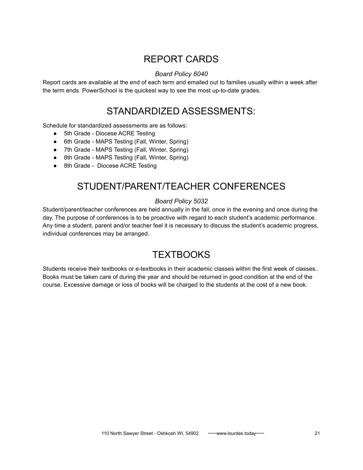# REPORT CARDS

### *Board Policy 6040*

<span id="page-20-1"></span><span id="page-20-0"></span>Report cards are available at the end of each term and emailed out to families usually within a week after the term ends. PowerSchool is the quickest way to see the most up-to-date grades.

### STANDARDIZED ASSESSMENTS:

Schedule for standardized assessments are as follows:

- 5th Grade Diocese ACRE Testing
- 6th Grade MAPS Testing (Fall, Winter, Spring)
- 7th Grade MAPS Testing (Fall, Winter, Spring)
- 8th Grade MAPS Testing (Fall, Winter, Spring)
- <span id="page-20-2"></span>● 8th Grade - Diocese ACRE Testing

# STUDENT/PARENT/TEACHER CONFERENCES

### *Board Policy 5032*

Student/parent/teacher conferences are held annually in the fall, once in the evening and once during the day. The purpose of conferences is to be proactive with regard to each student's academic performance. Any time a student, parent and/or teacher feel it is necessary to discuss the student's academic progress, individual conferences may be arranged.

### **TEXTBOOKS**

<span id="page-20-3"></span>Students receive their textbooks or e-textbooks in their academic classes within the first week of classes.. Books must be taken care of during the year and should be returned in good condition at the end of the course. Excessive damage or loss of books will be charged to the students at the cost of a new book.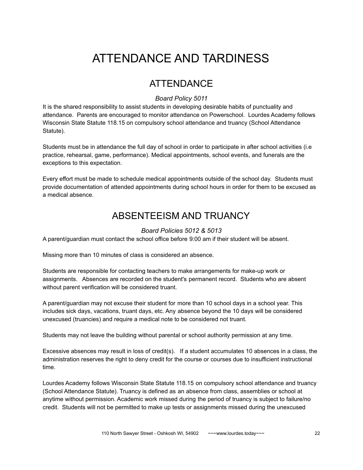# <span id="page-21-0"></span>ATTENDANCE AND TARDINESS

### ATTENDANCE

### *Board Policy 5011*

<span id="page-21-1"></span>It is the shared responsibility to assist students in developing desirable habits of punctuality and attendance. Parents are encouraged to monitor attendance on Powerschool. Lourdes Academy follows Wisconsin State Statute 118.15 on compulsory school attendance and truancy (School Attendance Statute).

Students must be in attendance the full day of school in order to participate in after school activities (i.e practice, rehearsal, game, performance). Medical appointments, school events, and funerals are the exceptions to this expectation.

<span id="page-21-2"></span>Every effort must be made to schedule medical appointments outside of the school day. Students must provide documentation of attended appointments during school hours in order for them to be excused as a medical absence.

# ABSENTEEISM AND TRUANCY

### *Board Policies 5012 & 5013*

A parent/guardian must contact the school office before 9:00 am if their student will be absent.

Missing more than 10 minutes of class is considered an absence.

Students are responsible for contacting teachers to make arrangements for make-up work or assignments. Absences are recorded on the student's permanent record. Students who are absent without parent verification will be considered truant.

A parent/guardian may not excuse their student for more than 10 school days in a school year. This includes sick days, vacations, truant days, etc. Any absence beyond the 10 days will be considered unexcused (truancies) and require a medical note to be considered not truant.

Students may not leave the building without parental or school authority permission at any time.

Excessive absences may result in loss of credit(s). If a student accumulates 10 absences in a class, the administration reserves the right to deny credit for the course or courses due to insufficient instructional time.

Lourdes Academy follows Wisconsin State Statute 118.15 on compulsory school attendance and truancy (School Attendance Statute). Truancy is defined as an absence from class, assemblies or school at anytime without permission. Academic work missed during the period of truancy is subject to failure/no credit. Students will not be permitted to make up tests or assignments missed during the unexcused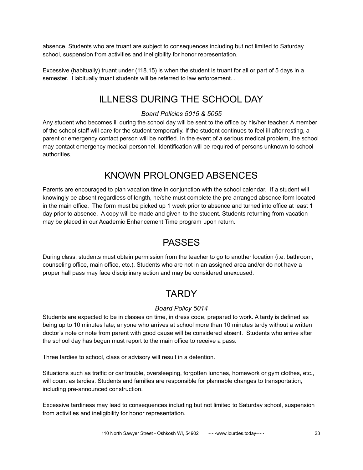absence. Students who are truant are subject to consequences including but not limited to Saturday school, suspension from activities and ineligibility for honor representation.

<span id="page-22-0"></span>Excessive (habitually) truant under (118.15) is when the student is truant for all or part of 5 days in a semester. Habitually truant students will be referred to law enforcement. .

# ILLNESS DURING THE SCHOOL DAY

### *Board Policies 5015 & 5055*

Any student who becomes ill during the school day will be sent to the office by his/her teacher. A member of the school staff will care for the student temporarily. If the student continues to feel ill after resting, a parent or emergency contact person will be notified. In the event of a serious medical problem, the school may contact emergency medical personnel. Identification will be required of persons unknown to school authorities.

# KNOWN PROLONGED ABSENCES

<span id="page-22-1"></span>Parents are encouraged to plan vacation time in conjunction with the school calendar. If a student will knowingly be absent regardless of length, he/she must complete the pre-arranged absence form located in the main office. The form must be picked up 1 week prior to absence and turned into office at least 1 day prior to absence. A copy will be made and given to the student. Students returning from vacation may be placed in our Academic Enhancement Time program upon return.

# PASSES

<span id="page-22-3"></span><span id="page-22-2"></span>During class, students must obtain permission from the teacher to go to another location (i.e. bathroom, counseling office, main office, etc.). Students who are not in an assigned area and/or do not have a proper hall pass may face disciplinary action and may be considered unexcused.

### **TARDY**

### *Board Policy 5014*

Students are expected to be in classes on time, in dress code, prepared to work. A tardy is defined as being up to 10 minutes late; anyone who arrives at school more than 10 minutes tardy without a written doctor's note or note from parent with good cause will be considered absent. Students who arrive after the school day has begun must report to the main office to receive a pass.

Three tardies to school, class or advisory will result in a detention.

Situations such as traffic or car trouble, oversleeping, forgotten lunches, homework or gym clothes, etc., will count as tardies. Students and families are responsible for plannable changes to transportation, including pre-announced construction.

Excessive tardiness may lead to consequences including but not limited to Saturday school, suspension from activities and ineligibility for honor representation.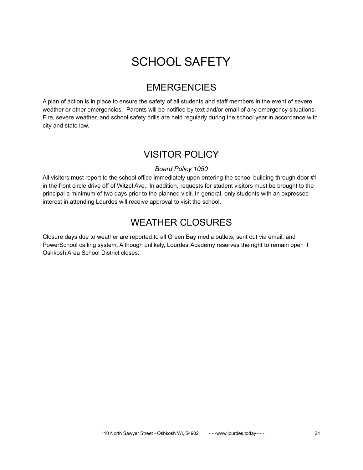# SCHOOL SAFETY

### EMERGENCIES

<span id="page-23-1"></span><span id="page-23-0"></span>A plan of action is in place to ensure the safety of all students and staff members in the event of severe weather or other emergencies. Parents will be notified by text and/or email of any emergency situations. Fire, severe weather, and school safety drills are held regularly during the school year in accordance with city and state law.

### VISITOR POLICY

### *Board Policy 1050*

<span id="page-23-2"></span>All visitors must report to the school office immediately upon entering the school building through door #1 in the front circle drive off of Witzel Ave.. In addition, requests for student visitors must be brought to the principal a minimum of two days prior to the planned visit. In general, only students with an expressed interest in attending Lourdes will receive approval to visit the school.

# WEATHER CLOSURES

<span id="page-23-3"></span>Closure days due to weather are reported to all Green Bay media outlets, sent out via email, and PowerSchool calling system. Although unlikely, Lourdes Academy reserves the right to remain open if Oshkosh Area School District closes.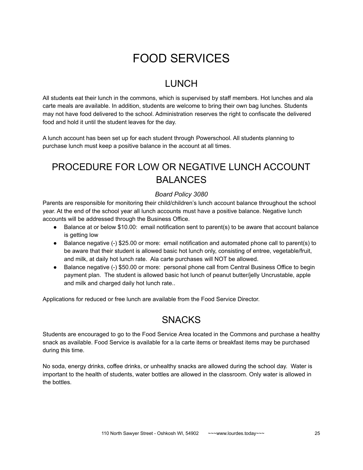# FOOD SERVICES

# **LUNCH**

<span id="page-24-1"></span><span id="page-24-0"></span>All students eat their lunch in the commons, which is supervised by staff members. Hot lunches and ala carte meals are available. In addition, students are welcome to bring their own bag lunches. Students may not have food delivered to the school. Administration reserves the right to confiscate the delivered food and hold it until the student leaves for the day.

A lunch account has been set up for each student through Powerschool. All students planning to purchase lunch must keep a positive balance in the account at all times.

# <span id="page-24-2"></span>PROCEDURE FOR LOW OR NEGATIVE LUNCH ACCOUNT BALANCES

### *Board Policy 3080*

Parents are responsible for monitoring their child/children's lunch account balance throughout the school year. At the end of the school year all lunch accounts must have a positive balance. Negative lunch accounts will be addressed through the Business Office.

- Balance at or below \$10.00: email notification sent to parent(s) to be aware that account balance is getting low
- Balance negative (-) \$25.00 or more: email notification and automated phone call to parent(s) to be aware that their student is allowed basic hot lunch only, consisting of entree, vegetable/fruit, and milk, at daily hot lunch rate. Ala carte purchases will NOT be allowed.
- Balance negative (-) \$50.00 or more: personal phone call from Central Business Office to begin payment plan. The student is allowed basic hot lunch of peanut butter/jelly Uncrustable, apple and milk and charged daily hot lunch rate..

<span id="page-24-3"></span>Applications for reduced or free lunch are available from the Food Service Director.

# SNACKS

Students are encouraged to go to the Food Service Area located in the Commons and purchase a healthy snack as available. Food Service is available for a la carte items or breakfast items may be purchased during this time.

No soda, energy drinks, coffee drinks, or unhealthy snacks are allowed during the school day. Water is important to the health of students, water bottles are allowed in the classroom. Only water is allowed in the bottles.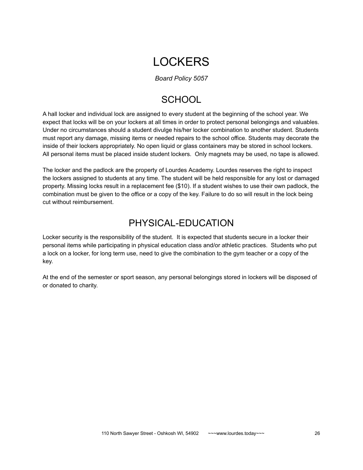# **LOCKERS**

*Board Policy 5057*

# **SCHOOL**

<span id="page-25-1"></span><span id="page-25-0"></span>A hall locker and individual lock are assigned to every student at the beginning of the school year. We expect that locks will be on your lockers at all times in order to protect personal belongings and valuables. Under no circumstances should a student divulge his/her locker combination to another student. Students must report any damage, missing items or needed repairs to the school office. Students may decorate the inside of their lockers appropriately. No open liquid or glass containers may be stored in school lockers. All personal items must be placed inside student lockers. Only magnets may be used, no tape is allowed.

The locker and the padlock are the property of Lourdes Academy. Lourdes reserves the right to inspect the lockers assigned to students at any time. The student will be held responsible for any lost or damaged property. Missing locks result in a replacement fee (\$10). If a student wishes to use their own padlock, the combination must be given to the office or a copy of the key. Failure to do so will result in the lock being cut without reimbursement.

# PHYSICAL-EDUCATION

<span id="page-25-2"></span>Locker security is the responsibility of the student. It is expected that students secure in a locker their personal items while participating in physical education class and/or athletic practices. Students who put a lock on a locker, for long term use, need to give the combination to the gym teacher or a copy of the key.

At the end of the semester or sport season, any personal belongings stored in lockers will be disposed of or donated to charity.